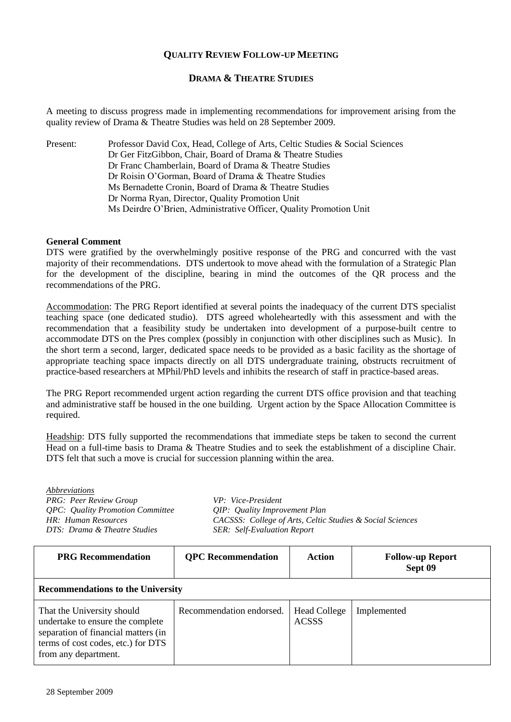## **QUALITY REVIEW FOLLOW-UP MEETING**

## **DRAMA & THEATRE STUDIES**

A meeting to discuss progress made in implementing recommendations for improvement arising from the quality review of Drama & Theatre Studies was held on 28 September 2009.

Present: Professor David Cox, Head, College of Arts, Celtic Studies & Social Sciences Dr Ger FitzGibbon, Chair, Board of Drama & Theatre Studies Dr Franc Chamberlain, Board of Drama & Theatre Studies Dr Roisin O'Gorman, Board of Drama & Theatre Studies Ms Bernadette Cronin, Board of Drama & Theatre Studies Dr Norma Ryan, Director, Quality Promotion Unit Ms Deirdre O'Brien, Administrative Officer, Quality Promotion Unit

## **General Comment**

DTS were gratified by the overwhelmingly positive response of the PRG and concurred with the vast majority of their recommendations. DTS undertook to move ahead with the formulation of a Strategic Plan for the development of the discipline, bearing in mind the outcomes of the QR process and the recommendations of the PRG.

Accommodation: The PRG Report identified at several points the inadequacy of the current DTS specialist teaching space (one dedicated studio). DTS agreed wholeheartedly with this assessment and with the recommendation that a feasibility study be undertaken into development of a purpose-built centre to accommodate DTS on the Pres complex (possibly in conjunction with other disciplines such as Music). In the short term a second, larger, dedicated space needs to be provided as a basic facility as the shortage of appropriate teaching space impacts directly on all DTS undergraduate training, obstructs recruitment of practice-based researchers at MPhil/PhD levels and inhibits the research of staff in practice-based areas.

The PRG Report recommended urgent action regarding the current DTS office provision and that teaching and administrative staff be housed in the one building. Urgent action by the Space Allocation Committee is required.

Headship: DTS fully supported the recommendations that immediate steps be taken to second the current Head on a full-time basis to Drama & Theatre Studies and to seek the establishment of a discipline Chair. DTS felt that such a move is crucial for succession planning within the area.

*Abbreviations PRG: Peer Review Group VP: Vice-President QPC: Quality Promotion Committee QIP: Quality Improvement Plan DTS: Drama & Theatre Studies SER: Self-Evaluation Report*

*HR: Human Resources CACSSS: College of Arts, Celtic Studies & Social Sciences*

| <b>PRG</b> Recommendation                                                                                                                                           | <b>QPC</b> Recommendation | Action                              | <b>Follow-up Report</b><br>Sept 09 |  |
|---------------------------------------------------------------------------------------------------------------------------------------------------------------------|---------------------------|-------------------------------------|------------------------------------|--|
| <b>Recommendations to the University</b>                                                                                                                            |                           |                                     |                                    |  |
| That the University should<br>undertake to ensure the complete<br>separation of financial matters (in<br>terms of cost codes, etc.) for DTS<br>from any department. | Recommendation endorsed.  | <b>Head College</b><br><b>ACSSS</b> | Implemented                        |  |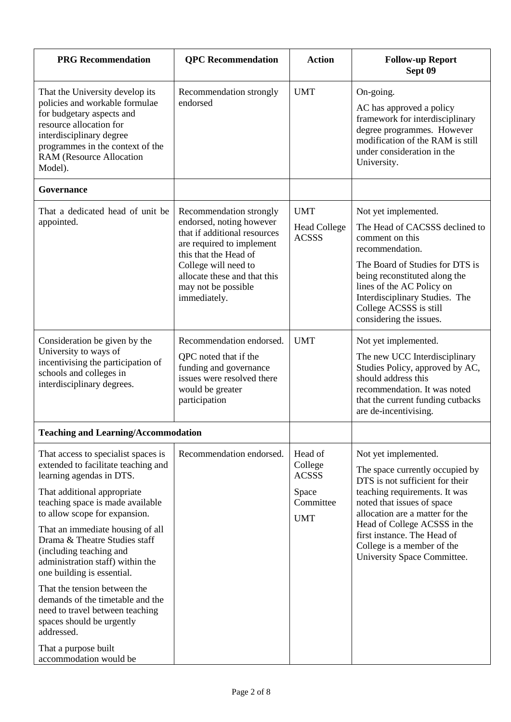| <b>QPC</b> Recommendation                                                                                                                                                                                                                | <b>Action</b>                                                          | <b>Follow-up Report</b><br>Sept 09                                                                                                                                                                                                                                                                                       |
|------------------------------------------------------------------------------------------------------------------------------------------------------------------------------------------------------------------------------------------|------------------------------------------------------------------------|--------------------------------------------------------------------------------------------------------------------------------------------------------------------------------------------------------------------------------------------------------------------------------------------------------------------------|
| Recommendation strongly<br>endorsed                                                                                                                                                                                                      | <b>UMT</b>                                                             | On-going.<br>AC has approved a policy<br>framework for interdisciplinary<br>degree programmes. However<br>modification of the RAM is still<br>under consideration in the<br>University.                                                                                                                                  |
|                                                                                                                                                                                                                                          |                                                                        |                                                                                                                                                                                                                                                                                                                          |
| Recommendation strongly<br>endorsed, noting however<br>that if additional resources<br>are required to implement<br>this that the Head of<br>College will need to<br>allocate these and that this<br>may not be possible<br>immediately. | <b>UMT</b><br><b>Head College</b><br><b>ACSSS</b>                      | Not yet implemented.<br>The Head of CACSSS declined to<br>comment on this<br>recommendation.<br>The Board of Studies for DTS is<br>being reconstituted along the<br>lines of the AC Policy on<br>Interdisciplinary Studies. The<br>College ACSSS is still<br>considering the issues.                                     |
| Recommendation endorsed.<br>QPC noted that if the<br>funding and governance<br>issues were resolved there<br>would be greater<br>participation                                                                                           | <b>UMT</b>                                                             | Not yet implemented.<br>The new UCC Interdisciplinary<br>Studies Policy, approved by AC,<br>should address this<br>recommendation. It was noted<br>that the current funding cutbacks<br>are de-incentivising.                                                                                                            |
|                                                                                                                                                                                                                                          |                                                                        |                                                                                                                                                                                                                                                                                                                          |
| Recommendation endorsed.                                                                                                                                                                                                                 | Head of<br>College<br><b>ACSSS</b><br>Space<br>Committee<br><b>UMT</b> | Not yet implemented.<br>The space currently occupied by<br>DTS is not sufficient for their<br>teaching requirements. It was<br>noted that issues of space<br>allocation are a matter for the<br>Head of College ACSSS in the<br>first instance. The Head of<br>College is a member of the<br>University Space Committee. |
|                                                                                                                                                                                                                                          | <b>Teaching and Learning/Accommodation</b>                             |                                                                                                                                                                                                                                                                                                                          |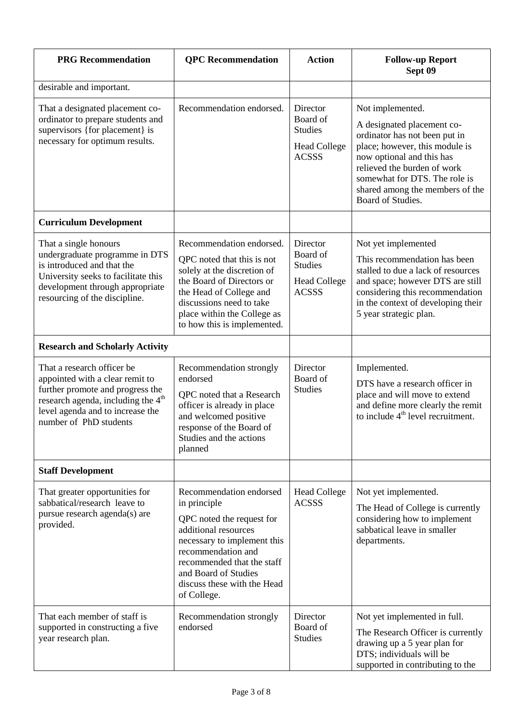| <b>PRG</b> Recommendation                                                                                                                                                                                         | <b>QPC</b> Recommendation                                                                                                                                                                                                                             | <b>Action</b>                                                                 | <b>Follow-up Report</b><br>Sept 09                                                                                                                                                                                                                                     |
|-------------------------------------------------------------------------------------------------------------------------------------------------------------------------------------------------------------------|-------------------------------------------------------------------------------------------------------------------------------------------------------------------------------------------------------------------------------------------------------|-------------------------------------------------------------------------------|------------------------------------------------------------------------------------------------------------------------------------------------------------------------------------------------------------------------------------------------------------------------|
| desirable and important.                                                                                                                                                                                          |                                                                                                                                                                                                                                                       |                                                                               |                                                                                                                                                                                                                                                                        |
| That a designated placement co-<br>ordinator to prepare students and<br>supervisors {for placement} is<br>necessary for optimum results.                                                                          | Recommendation endorsed.                                                                                                                                                                                                                              | Director<br>Board of<br><b>Studies</b><br><b>Head College</b><br><b>ACSSS</b> | Not implemented.<br>A designated placement co-<br>ordinator has not been put in<br>place; however, this module is<br>now optional and this has<br>relieved the burden of work<br>somewhat for DTS. The role is<br>shared among the members of the<br>Board of Studies. |
| <b>Curriculum Development</b>                                                                                                                                                                                     |                                                                                                                                                                                                                                                       |                                                                               |                                                                                                                                                                                                                                                                        |
| That a single honours<br>undergraduate programme in DTS<br>is introduced and that the<br>University seeks to facilitate this<br>development through appropriate<br>resourcing of the discipline.                  | Recommendation endorsed.<br>QPC noted that this is not<br>solely at the discretion of<br>the Board of Directors or<br>the Head of College and<br>discussions need to take<br>place within the College as<br>to how this is implemented.               | Director<br>Board of<br><b>Studies</b><br><b>Head College</b><br><b>ACSSS</b> | Not yet implemented<br>This recommendation has been<br>stalled to due a lack of resources<br>and space; however DTS are still<br>considering this recommendation<br>in the context of developing their<br>5 year strategic plan.                                       |
| <b>Research and Scholarly Activity</b>                                                                                                                                                                            |                                                                                                                                                                                                                                                       |                                                                               |                                                                                                                                                                                                                                                                        |
| That a research officer be<br>appointed with a clear remit to<br>further promote and progress the<br>research agenda, including the 4 <sup>th</sup><br>level agenda and to increase the<br>number of PhD students | Recommendation strongly<br>endorsed<br>QPC noted that a Research<br>officer is already in place<br>and welcomed positive<br>response of the Board of<br>Studies and the actions<br>planned                                                            | Director<br>Board of<br><b>Studies</b>                                        | Implemented.<br>DTS have a research officer in<br>place and will move to extend<br>and define more clearly the remit<br>to include $4th$ level recruitment.                                                                                                            |
| <b>Staff Development</b>                                                                                                                                                                                          |                                                                                                                                                                                                                                                       |                                                                               |                                                                                                                                                                                                                                                                        |
| That greater opportunities for<br>sabbatical/research leave to<br>pursue research agenda(s) are<br>provided.                                                                                                      | Recommendation endorsed<br>in principle<br>QPC noted the request for<br>additional resources<br>necessary to implement this<br>recommendation and<br>recommended that the staff<br>and Board of Studies<br>discuss these with the Head<br>of College. | <b>Head College</b><br><b>ACSSS</b>                                           | Not yet implemented.<br>The Head of College is currently<br>considering how to implement<br>sabbatical leave in smaller<br>departments.                                                                                                                                |
| That each member of staff is<br>supported in constructing a five<br>year research plan.                                                                                                                           | Recommendation strongly<br>endorsed                                                                                                                                                                                                                   | Director<br>Board of<br><b>Studies</b>                                        | Not yet implemented in full.<br>The Research Officer is currently<br>drawing up a 5 year plan for<br>DTS; individuals will be<br>supported in contributing to the                                                                                                      |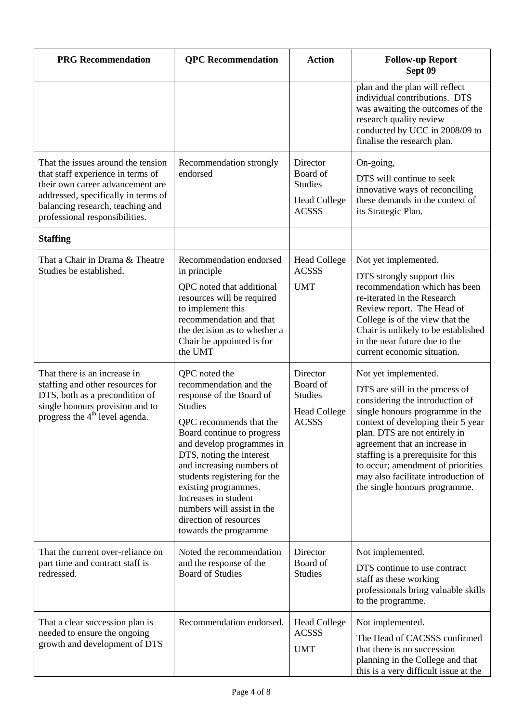| <b>PRG</b> Recommendation                                                                                                                                                                                                | <b>QPC</b> Recommendation                                                                                                                                                                                                                                                                                                                                                                             | <b>Action</b>                                                                 | <b>Follow-up Report</b><br>Sept 09                                                                                                                                                                                                                                                                                                                                                        |
|--------------------------------------------------------------------------------------------------------------------------------------------------------------------------------------------------------------------------|-------------------------------------------------------------------------------------------------------------------------------------------------------------------------------------------------------------------------------------------------------------------------------------------------------------------------------------------------------------------------------------------------------|-------------------------------------------------------------------------------|-------------------------------------------------------------------------------------------------------------------------------------------------------------------------------------------------------------------------------------------------------------------------------------------------------------------------------------------------------------------------------------------|
|                                                                                                                                                                                                                          |                                                                                                                                                                                                                                                                                                                                                                                                       |                                                                               | plan and the plan will reflect<br>individual contributions. DTS<br>was awaiting the outcomes of the<br>research quality review<br>conducted by UCC in 2008/09 to<br>finalise the research plan.                                                                                                                                                                                           |
| That the issues around the tension<br>that staff experience in terms of<br>their own career advancement are<br>addressed, specifically in terms of<br>balancing research, teaching and<br>professional responsibilities. | Recommendation strongly<br>endorsed                                                                                                                                                                                                                                                                                                                                                                   | Director<br>Board of<br><b>Studies</b><br><b>Head College</b><br><b>ACSSS</b> | On-going,<br>DTS will continue to seek<br>innovative ways of reconciling<br>these demands in the context of<br>its Strategic Plan.                                                                                                                                                                                                                                                        |
| <b>Staffing</b>                                                                                                                                                                                                          |                                                                                                                                                                                                                                                                                                                                                                                                       |                                                                               |                                                                                                                                                                                                                                                                                                                                                                                           |
| That a Chair in Drama & Theatre<br>Studies be established.                                                                                                                                                               | Recommendation endorsed<br>in principle<br>QPC noted that additional<br>resources will be required<br>to implement this<br>recommendation and that<br>the decision as to whether a<br>Chair be appointed is for<br>the UMT                                                                                                                                                                            | <b>Head College</b><br><b>ACSSS</b><br><b>UMT</b>                             | Not yet implemented.<br>DTS strongly support this<br>recommendation which has been<br>re-iterated in the Research<br>Review report. The Head of<br>College is of the view that the<br>Chair is unlikely to be established<br>in the near future due to the<br>current economic situation.                                                                                                 |
| That there is an increase in<br>staffing and other resources for<br>DTS, both as a precondition of<br>single honours provision and to<br>progress the 4 <sup>th</sup> level agenda.                                      | QPC noted the<br>recommendation and the<br>response of the Board of<br><b>Studies</b><br>QPC recommends that the<br>Board continue to progress<br>and develop programmes in<br>DTS, noting the interest<br>and increasing numbers of<br>students registering for the<br>existing programmes.<br>Increases in student<br>numbers will assist in the<br>direction of resources<br>towards the programme | Director<br>Board of<br><b>Studies</b><br><b>Head College</b><br><b>ACSSS</b> | Not yet implemented.<br>DTS are still in the process of<br>considering the introduction of<br>single honours programme in the<br>context of developing their 5 year<br>plan. DTS are not entirely in<br>agreement that an increase in<br>staffing is a prerequisite for this<br>to occur; amendment of priorities<br>may also facilitate introduction of<br>the single honours programme. |
| That the current over-reliance on<br>part time and contract staff is<br>redressed.                                                                                                                                       | Noted the recommendation<br>and the response of the<br><b>Board of Studies</b>                                                                                                                                                                                                                                                                                                                        | Director<br>Board of<br><b>Studies</b>                                        | Not implemented.<br>DTS continue to use contract<br>staff as these working<br>professionals bring valuable skills<br>to the programme.                                                                                                                                                                                                                                                    |
| That a clear succession plan is<br>needed to ensure the ongoing<br>growth and development of DTS                                                                                                                         | Recommendation endorsed.                                                                                                                                                                                                                                                                                                                                                                              | <b>Head College</b><br><b>ACSSS</b><br><b>UMT</b>                             | Not implemented.<br>The Head of CACSSS confirmed<br>that there is no succession<br>planning in the College and that<br>this is a very difficult issue at the                                                                                                                                                                                                                              |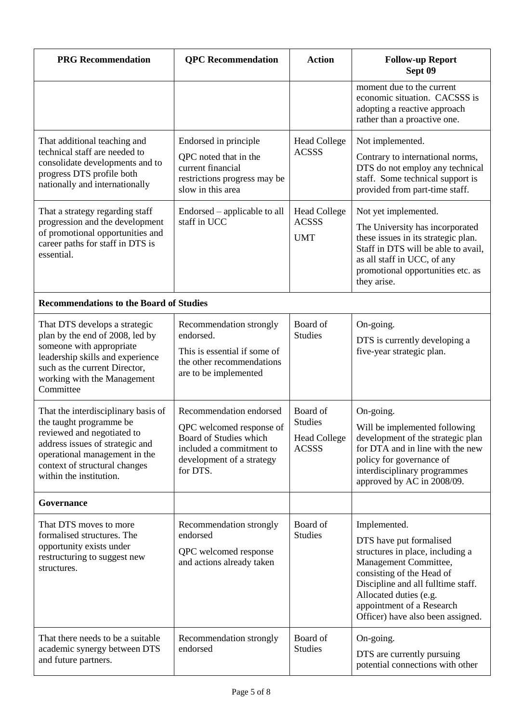| <b>PRG</b> Recommendation                                                                                                                                                                                                    | <b>QPC</b> Recommendation                                                                                                                          | <b>Action</b>                                                     | <b>Follow-up Report</b><br>Sept 09                                                                                                                                                                                                                                  |
|------------------------------------------------------------------------------------------------------------------------------------------------------------------------------------------------------------------------------|----------------------------------------------------------------------------------------------------------------------------------------------------|-------------------------------------------------------------------|---------------------------------------------------------------------------------------------------------------------------------------------------------------------------------------------------------------------------------------------------------------------|
|                                                                                                                                                                                                                              |                                                                                                                                                    |                                                                   | moment due to the current<br>economic situation. CACSSS is<br>adopting a reactive approach<br>rather than a proactive one.                                                                                                                                          |
| That additional teaching and<br>technical staff are needed to<br>consolidate developments and to<br>progress DTS profile both<br>nationally and internationally                                                              | Endorsed in principle<br>QPC noted that in the<br>current financial<br>restrictions progress may be<br>slow in this area                           | <b>Head College</b><br><b>ACSSS</b>                               | Not implemented.<br>Contrary to international norms,<br>DTS do not employ any technical<br>staff. Some technical support is<br>provided from part-time staff.                                                                                                       |
| That a strategy regarding staff<br>progression and the development<br>of promotional opportunities and<br>career paths for staff in DTS is<br>essential.                                                                     | Endorsed – applicable to all<br>staff in UCC                                                                                                       | <b>Head College</b><br><b>ACSSS</b><br><b>UMT</b>                 | Not yet implemented.<br>The University has incorporated<br>these issues in its strategic plan.<br>Staff in DTS will be able to avail,<br>as all staff in UCC, of any<br>promotional opportunities etc. as<br>they arise.                                            |
| <b>Recommendations to the Board of Studies</b>                                                                                                                                                                               |                                                                                                                                                    |                                                                   |                                                                                                                                                                                                                                                                     |
| That DTS develops a strategic<br>plan by the end of 2008, led by<br>someone with appropriate<br>leadership skills and experience<br>such as the current Director,<br>working with the Management<br>Committee                | Recommendation strongly<br>endorsed.<br>This is essential if some of<br>the other recommendations<br>are to be implemented                         | Board of<br><b>Studies</b>                                        | On-going.<br>DTS is currently developing a<br>five-year strategic plan.                                                                                                                                                                                             |
| That the interdisciplinary basis of<br>the taught programme be<br>reviewed and negotiated to<br>address issues of strategic and<br>operational management in the<br>context of structural changes<br>within the institution. | Recommendation endorsed<br>QPC welcomed response of<br>Board of Studies which<br>included a commitment to<br>development of a strategy<br>for DTS. | Board of<br><b>Studies</b><br><b>Head College</b><br><b>ACSSS</b> | On-going.<br>Will be implemented following<br>development of the strategic plan<br>for DTA and in line with the new<br>policy for governance of<br>interdisciplinary programmes<br>approved by AC in 2008/09.                                                       |
| Governance                                                                                                                                                                                                                   |                                                                                                                                                    |                                                                   |                                                                                                                                                                                                                                                                     |
| That DTS moves to more<br>formalised structures. The<br>opportunity exists under<br>restructuring to suggest new<br>structures.                                                                                              | Recommendation strongly<br>endorsed<br>QPC welcomed response<br>and actions already taken                                                          | Board of<br><b>Studies</b>                                        | Implemented.<br>DTS have put formalised<br>structures in place, including a<br>Management Committee,<br>consisting of the Head of<br>Discipline and all fulltime staff.<br>Allocated duties (e.g.<br>appointment of a Research<br>Officer) have also been assigned. |
| That there needs to be a suitable<br>academic synergy between DTS<br>and future partners.                                                                                                                                    | Recommendation strongly<br>endorsed                                                                                                                | Board of<br><b>Studies</b>                                        | On-going.<br>DTS are currently pursuing<br>potential connections with other                                                                                                                                                                                         |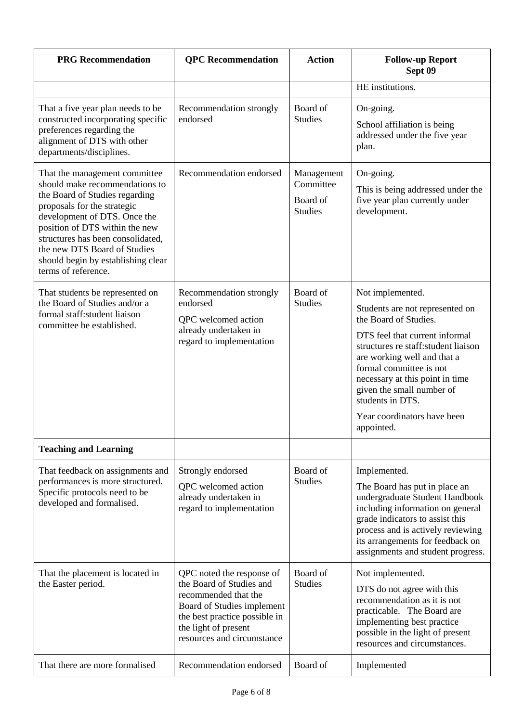| <b>PRG</b> Recommendation                                                                                                                                                                                                                                                                                                            | <b>QPC</b> Recommendation                                                                                                                                                                          | <b>Action</b>                                         | <b>Follow-up Report</b><br>Sept 09                                                                                                                                                                                                                                                                                                                |
|--------------------------------------------------------------------------------------------------------------------------------------------------------------------------------------------------------------------------------------------------------------------------------------------------------------------------------------|----------------------------------------------------------------------------------------------------------------------------------------------------------------------------------------------------|-------------------------------------------------------|---------------------------------------------------------------------------------------------------------------------------------------------------------------------------------------------------------------------------------------------------------------------------------------------------------------------------------------------------|
|                                                                                                                                                                                                                                                                                                                                      |                                                                                                                                                                                                    |                                                       | HE institutions.                                                                                                                                                                                                                                                                                                                                  |
| That a five year plan needs to be<br>constructed incorporating specific<br>preferences regarding the<br>alignment of DTS with other<br>departments/disciplines.                                                                                                                                                                      | Recommendation strongly<br>endorsed                                                                                                                                                                | Board of<br><b>Studies</b>                            | On-going.<br>School affiliation is being<br>addressed under the five year<br>plan.                                                                                                                                                                                                                                                                |
| That the management committee<br>should make recommendations to<br>the Board of Studies regarding<br>proposals for the strategic<br>development of DTS. Once the<br>position of DTS within the new<br>structures has been consolidated,<br>the new DTS Board of Studies<br>should begin by establishing clear<br>terms of reference. | Recommendation endorsed                                                                                                                                                                            | Management<br>Committee<br>Board of<br><b>Studies</b> | On-going.<br>This is being addressed under the<br>five year plan currently under<br>development.                                                                                                                                                                                                                                                  |
| That students be represented on<br>the Board of Studies and/or a<br>formal staff:student liaison<br>committee be established.                                                                                                                                                                                                        | Recommendation strongly<br>endorsed<br>QPC welcomed action<br>already undertaken in<br>regard to implementation                                                                                    | Board of<br><b>Studies</b>                            | Not implemented.<br>Students are not represented on<br>the Board of Studies.<br>DTS feel that current informal<br>structures re staff: student liaison<br>are working well and that a<br>formal committee is not<br>necessary at this point in time<br>given the small number of<br>students in DTS.<br>Year coordinators have been<br>appointed. |
| <b>Teaching and Learning</b>                                                                                                                                                                                                                                                                                                         |                                                                                                                                                                                                    |                                                       |                                                                                                                                                                                                                                                                                                                                                   |
| That feedback on assignments and<br>performances is more structured.<br>Specific protocols need to be<br>developed and formalised.                                                                                                                                                                                                   | Strongly endorsed<br>QPC welcomed action<br>already undertaken in<br>regard to implementation                                                                                                      | Board of<br><b>Studies</b>                            | Implemented.<br>The Board has put in place an<br>undergraduate Student Handbook<br>including information on general<br>grade indicators to assist this<br>process and is actively reviewing<br>its arrangements for feedback on<br>assignments and student progress.                                                                              |
| That the placement is located in<br>the Easter period.                                                                                                                                                                                                                                                                               | QPC noted the response of<br>the Board of Studies and<br>recommended that the<br>Board of Studies implement<br>the best practice possible in<br>the light of present<br>resources and circumstance | Board of<br><b>Studies</b>                            | Not implemented.<br>DTS do not agree with this<br>recommendation as it is not<br>practicable. The Board are<br>implementing best practice<br>possible in the light of present<br>resources and circumstances.                                                                                                                                     |
| That there are more formalised                                                                                                                                                                                                                                                                                                       | Recommendation endorsed                                                                                                                                                                            | Board of                                              | Implemented                                                                                                                                                                                                                                                                                                                                       |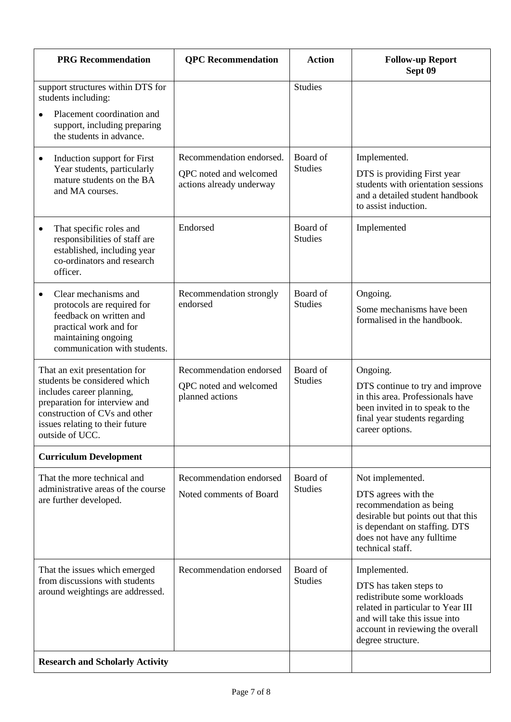| <b>PRG</b> Recommendation                                                                                                                                                                                          | <b>QPC</b> Recommendation                                                      | <b>Action</b>              | <b>Follow-up Report</b><br>Sept 09                                                                                                                                                                   |
|--------------------------------------------------------------------------------------------------------------------------------------------------------------------------------------------------------------------|--------------------------------------------------------------------------------|----------------------------|------------------------------------------------------------------------------------------------------------------------------------------------------------------------------------------------------|
| support structures within DTS for<br>students including:<br>Placement coordination and<br>support, including preparing<br>the students in advance.                                                                 |                                                                                | <b>Studies</b>             |                                                                                                                                                                                                      |
| Induction support for First<br>٠<br>Year students, particularly<br>mature students on the BA<br>and MA courses.                                                                                                    | Recommendation endorsed.<br>QPC noted and welcomed<br>actions already underway | Board of<br><b>Studies</b> | Implemented.<br>DTS is providing First year<br>students with orientation sessions<br>and a detailed student handbook<br>to assist induction.                                                         |
| That specific roles and<br>responsibilities of staff are<br>established, including year<br>co-ordinators and research<br>officer.                                                                                  | Endorsed                                                                       | Board of<br><b>Studies</b> | Implemented                                                                                                                                                                                          |
| Clear mechanisms and<br>protocols are required for<br>feedback on written and<br>practical work and for<br>maintaining ongoing<br>communication with students.                                                     | Recommendation strongly<br>endorsed                                            | Board of<br><b>Studies</b> | Ongoing.<br>Some mechanisms have been<br>formalised in the handbook.                                                                                                                                 |
| That an exit presentation for<br>students be considered which<br>includes career planning,<br>preparation for interview and<br>construction of CVs and other<br>issues relating to their future<br>outside of UCC. | Recommendation endorsed<br>QPC noted and welcomed<br>planned actions           | Board of<br><b>Studies</b> | Ongoing.<br>DTS continue to try and improve<br>in this area. Professionals have<br>been invited in to speak to the<br>final year students regarding<br>career options.                               |
| <b>Curriculum Development</b>                                                                                                                                                                                      |                                                                                |                            |                                                                                                                                                                                                      |
| That the more technical and<br>administrative areas of the course<br>are further developed.                                                                                                                        | Recommendation endorsed<br>Noted comments of Board                             | Board of<br><b>Studies</b> | Not implemented.<br>DTS agrees with the<br>recommendation as being<br>desirable but points out that this<br>is dependant on staffing. DTS<br>does not have any fulltime<br>technical staff.          |
| That the issues which emerged<br>from discussions with students<br>around weightings are addressed.                                                                                                                | Recommendation endorsed                                                        | Board of<br><b>Studies</b> | Implemented.<br>DTS has taken steps to<br>redistribute some workloads<br>related in particular to Year III<br>and will take this issue into<br>account in reviewing the overall<br>degree structure. |
| <b>Research and Scholarly Activity</b>                                                                                                                                                                             |                                                                                |                            |                                                                                                                                                                                                      |